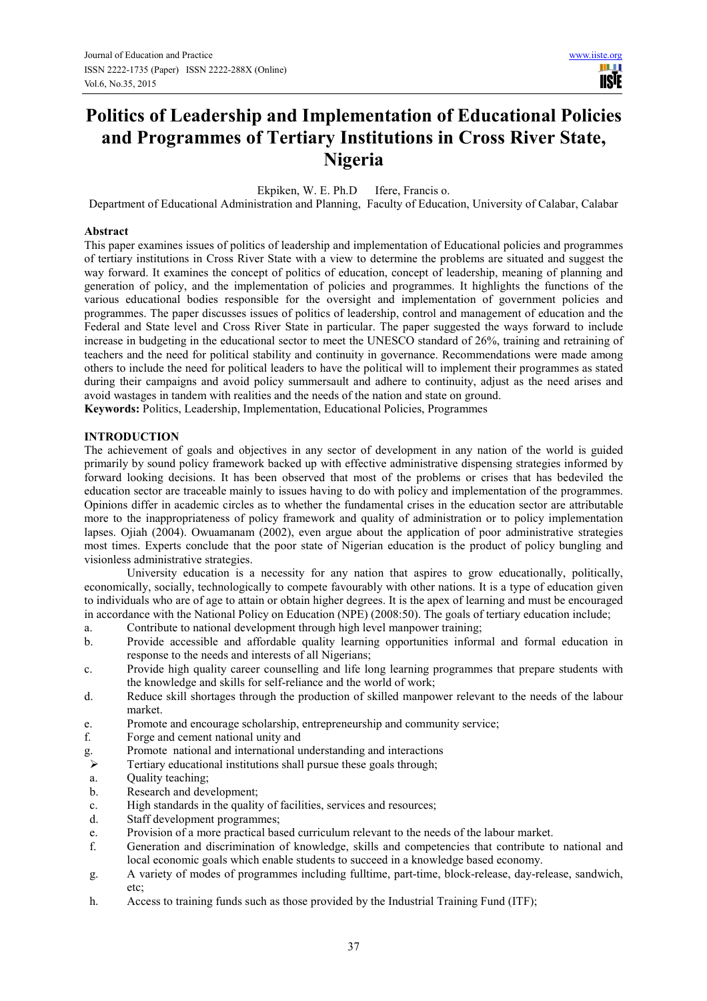H **TISIE** 

# **Politics of Leadership and Implementation of Educational Policies and Programmes of Tertiary Institutions in Cross River State, Nigeria**

Ekpiken, W. E. Ph.D Ifere, Francis o.

Department of Educational Administration and Planning, Faculty of Education, University of Calabar, Calabar

## **Abstract**

This paper examines issues of politics of leadership and implementation of Educational policies and programmes of tertiary institutions in Cross River State with a view to determine the problems are situated and suggest the way forward. It examines the concept of politics of education, concept of leadership, meaning of planning and generation of policy, and the implementation of policies and programmes. It highlights the functions of the various educational bodies responsible for the oversight and implementation of government policies and programmes. The paper discusses issues of politics of leadership, control and management of education and the Federal and State level and Cross River State in particular. The paper suggested the ways forward to include increase in budgeting in the educational sector to meet the UNESCO standard of 26%, training and retraining of teachers and the need for political stability and continuity in governance. Recommendations were made among others to include the need for political leaders to have the political will to implement their programmes as stated during their campaigns and avoid policy summersault and adhere to continuity, adjust as the need arises and avoid wastages in tandem with realities and the needs of the nation and state on ground. **Keywords:** Politics, Leadership, Implementation, Educational Policies, Programmes

# **INTRODUCTION**

The achievement of goals and objectives in any sector of development in any nation of the world is guided primarily by sound policy framework backed up with effective administrative dispensing strategies informed by forward looking decisions. It has been observed that most of the problems or crises that has bedeviled the education sector are traceable mainly to issues having to do with policy and implementation of the programmes. Opinions differ in academic circles as to whether the fundamental crises in the education sector are attributable more to the inappropriateness of policy framework and quality of administration or to policy implementation lapses. Ojiah (2004). Owuamanam (2002), even argue about the application of poor administrative strategies most times. Experts conclude that the poor state of Nigerian education is the product of policy bungling and visionless administrative strategies.

University education is a necessity for any nation that aspires to grow educationally, politically, economically, socially, technologically to compete favourably with other nations. It is a type of education given to individuals who are of age to attain or obtain higher degrees. It is the apex of learning and must be encouraged in accordance with the National Policy on Education (NPE) (2008:50). The goals of tertiary education include;

- a. Contribute to national development through high level manpower training;
- b. Provide accessible and affordable quality learning opportunities informal and formal education in response to the needs and interests of all Nigerians;
- c. Provide high quality career counselling and life long learning programmes that prepare students with the knowledge and skills for self-reliance and the world of work;
- d. Reduce skill shortages through the production of skilled manpower relevant to the needs of the labour market.
- e. Promote and encourage scholarship, entrepreneurship and community service;
- f. Forge and cement national unity and
- g. Promote national and international understanding and interactions<br>
Pertiary educational institutions shall pursue these goals through:
- Tertiary educational institutions shall pursue these goals through;
- a. Quality teaching;
- b. Research and development;
- c. High standards in the quality of facilities, services and resources;
- Staff development programmes;
- e. Provision of a more practical based curriculum relevant to the needs of the labour market.
- f. Generation and discrimination of knowledge, skills and competencies that contribute to national and local economic goals which enable students to succeed in a knowledge based economy.
- g. A variety of modes of programmes including fulltime, part-time, block-release, day-release, sandwich, etc;
- h. Access to training funds such as those provided by the Industrial Training Fund (ITF);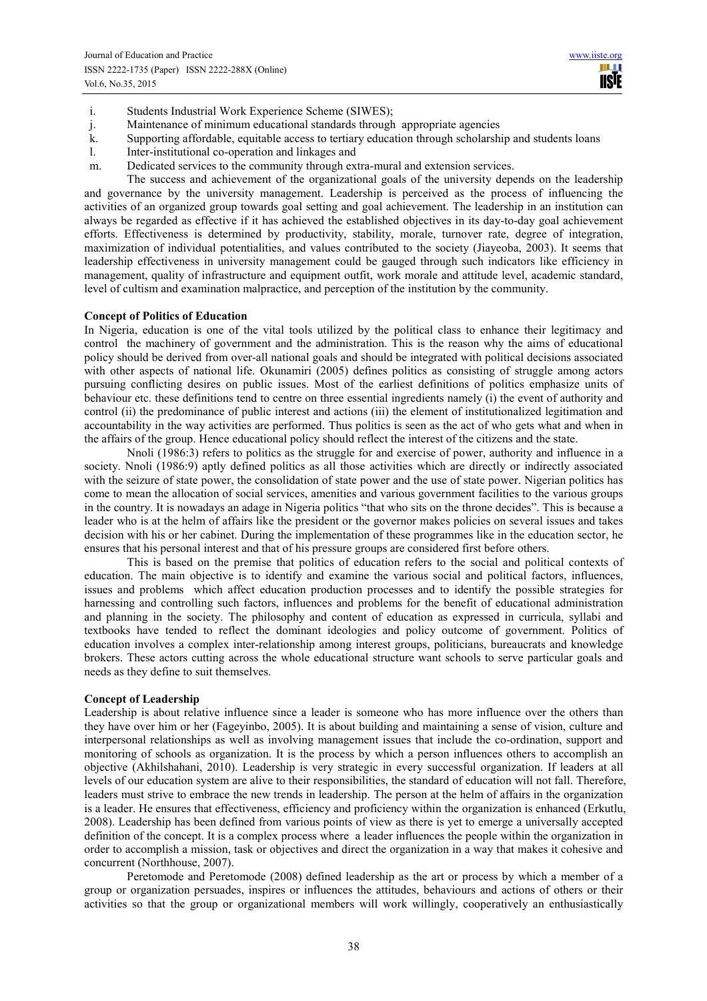**TISIE** 

- i. Students Industrial Work Experience Scheme (SIWES);
- j. Maintenance of minimum educational standards through appropriate agencies
- k. Supporting affordable, equitable access to tertiary education through scholarship and students loans
- l. Inter-institutional co-operation and linkages and
- m. Dedicated services to the community through extra-mural and extension services.

The success and achievement of the organizational goals of the university depends on the leadership and governance by the university management. Leadership is perceived as the process of influencing the activities of an organized group towards goal setting and goal achievement. The leadership in an institution can always be regarded as effective if it has achieved the established objectives in its day-to-day goal achievement efforts. Effectiveness is determined by productivity, stability, morale, turnover rate, degree of integration, maximization of individual potentialities, and values contributed to the society (Jiayeoba, 2003). It seems that leadership effectiveness in university management could be gauged through such indicators like efficiency in management, quality of infrastructure and equipment outfit, work morale and attitude level, academic standard, level of cultism and examination malpractice, and perception of the institution by the community.

#### **Concept of Politics of Education**

In Nigeria, education is one of the vital tools utilized by the political class to enhance their legitimacy and control the machinery of government and the administration. This is the reason why the aims of educational policy should be derived from over-all national goals and should be integrated with political decisions associated with other aspects of national life. Okunamiri (2005) defines politics as consisting of struggle among actors pursuing conflicting desires on public issues. Most of the earliest definitions of politics emphasize units of behaviour etc. these definitions tend to centre on three essential ingredients namely (i) the event of authority and control (ii) the predominance of public interest and actions (iii) the element of institutionalized legitimation and accountability in the way activities are performed. Thus politics is seen as the act of who gets what and when in the affairs of the group. Hence educational policy should reflect the interest of the citizens and the state.

Nnoli (1986:3) refers to politics as the struggle for and exercise of power, authority and influence in a society. Nnoli (1986:9) aptly defined politics as all those activities which are directly or indirectly associated with the seizure of state power, the consolidation of state power and the use of state power. Nigerian politics has come to mean the allocation of social services, amenities and various government facilities to the various groups in the country. It is nowadays an adage in Nigeria politics "that who sits on the throne decides". This is because a leader who is at the helm of affairs like the president or the governor makes policies on several issues and takes decision with his or her cabinet. During the implementation of these programmes like in the education sector, he ensures that his personal interest and that of his pressure groups are considered first before others.

This is based on the premise that politics of education refers to the social and political contexts of education. The main objective is to identify and examine the various social and political factors, influences, issues and problems which affect education production processes and to identify the possible strategies for harnessing and controlling such factors, influences and problems for the benefit of educational administration and planning in the society. The philosophy and content of education as expressed in curricula, syllabi and textbooks have tended to reflect the dominant ideologies and policy outcome of government. Politics of education involves a complex inter-relationship among interest groups, politicians, bureaucrats and knowledge brokers. These actors cutting across the whole educational structure want schools to serve particular goals and needs as they define to suit themselves.

#### **Concept of Leadership**

Leadership is about relative influence since a leader is someone who has more influence over the others than they have over him or her (Fageyinbo, 2005). It is about building and maintaining a sense of vision, culture and interpersonal relationships as well as involving management issues that include the co-ordination, support and monitoring of schools as organization. It is the process by which a person influences others to accomplish an objective (Akhilshahani, 2010). Leadership is very strategic in every successful organization. If leaders at all levels of our education system are alive to their responsibilities, the standard of education will not fall. Therefore, leaders must strive to embrace the new trends in leadership. The person at the helm of affairs in the organization is a leader. He ensures that effectiveness, efficiency and proficiency within the organization is enhanced (Erkutlu, 2008). Leadership has been defined from various points of view as there is yet to emerge a universally accepted definition of the concept. It is a complex process where a leader influences the people within the organization in order to accomplish a mission, task or objectives and direct the organization in a way that makes it cohesive and concurrent (Northhouse, 2007).

Peretomode and Peretomode (2008) defined leadership as the art or process by which a member of a group or organization persuades, inspires or influences the attitudes, behaviours and actions of others or their activities so that the group or organizational members will work willingly, cooperatively an enthusiastically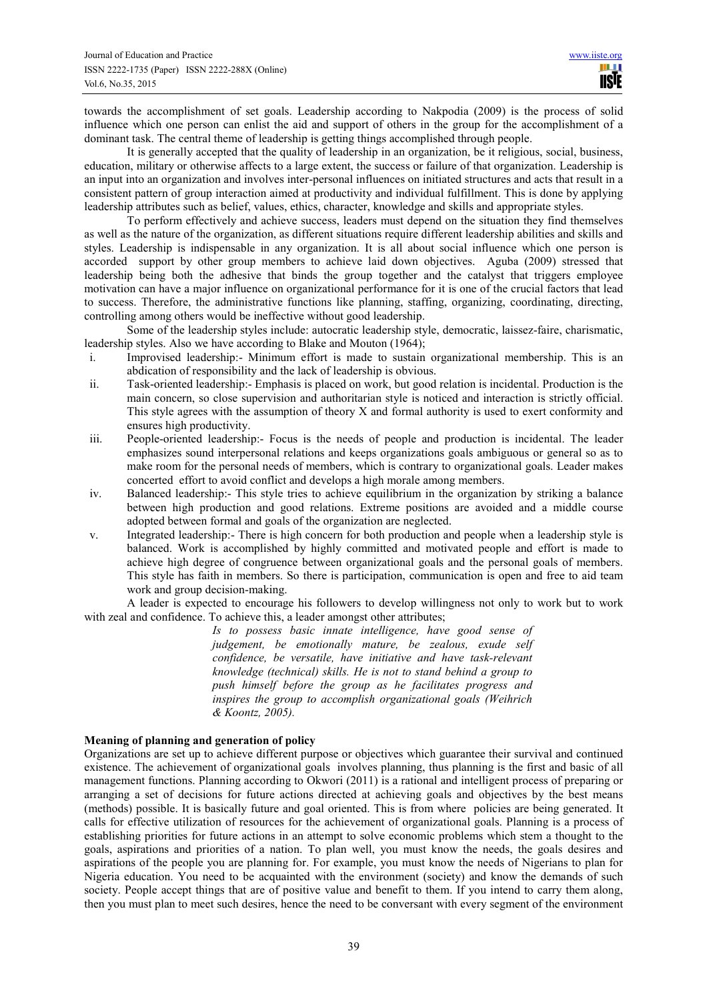towards the accomplishment of set goals. Leadership according to Nakpodia (2009) is the process of solid influence which one person can enlist the aid and support of others in the group for the accomplishment of a dominant task. The central theme of leadership is getting things accomplished through people.

It is generally accepted that the quality of leadership in an organization, be it religious, social, business, education, military or otherwise affects to a large extent, the success or failure of that organization. Leadership is an input into an organization and involves inter-personal influences on initiated structures and acts that result in a consistent pattern of group interaction aimed at productivity and individual fulfillment. This is done by applying leadership attributes such as belief, values, ethics, character, knowledge and skills and appropriate styles.

To perform effectively and achieve success, leaders must depend on the situation they find themselves as well as the nature of the organization, as different situations require different leadership abilities and skills and styles. Leadership is indispensable in any organization. It is all about social influence which one person is accorded support by other group members to achieve laid down objectives. Aguba (2009) stressed that leadership being both the adhesive that binds the group together and the catalyst that triggers employee motivation can have a major influence on organizational performance for it is one of the crucial factors that lead to success. Therefore, the administrative functions like planning, staffing, organizing, coordinating, directing, controlling among others would be ineffective without good leadership.

Some of the leadership styles include: autocratic leadership style, democratic, laissez-faire, charismatic, leadership styles. Also we have according to Blake and Mouton (1964);

- i. Improvised leadership:- Minimum effort is made to sustain organizational membership. This is an abdication of responsibility and the lack of leadership is obvious.
- ii. Task-oriented leadership:- Emphasis is placed on work, but good relation is incidental. Production is the main concern, so close supervision and authoritarian style is noticed and interaction is strictly official. This style agrees with the assumption of theory X and formal authority is used to exert conformity and ensures high productivity.
- iii. People-oriented leadership:- Focus is the needs of people and production is incidental. The leader emphasizes sound interpersonal relations and keeps organizations goals ambiguous or general so as to make room for the personal needs of members, which is contrary to organizational goals. Leader makes concerted effort to avoid conflict and develops a high morale among members.
- iv. Balanced leadership:- This style tries to achieve equilibrium in the organization by striking a balance between high production and good relations. Extreme positions are avoided and a middle course adopted between formal and goals of the organization are neglected.
- v. Integrated leadership:- There is high concern for both production and people when a leadership style is balanced. Work is accomplished by highly committed and motivated people and effort is made to achieve high degree of congruence between organizational goals and the personal goals of members. This style has faith in members. So there is participation, communication is open and free to aid team work and group decision-making.

A leader is expected to encourage his followers to develop willingness not only to work but to work with zeal and confidence. To achieve this, a leader amongst other attributes;

> *Is to possess basic innate intelligence, have good sense of judgement, be emotionally mature, be zealous, exude self confidence, be versatile, have initiative and have task-relevant knowledge (technical) skills. He is not to stand behind a group to push himself before the group as he facilitates progress and inspires the group to accomplish organizational goals (Weihrich & Koontz, 2005).*

#### **Meaning of planning and generation of policy**

Organizations are set up to achieve different purpose or objectives which guarantee their survival and continued existence. The achievement of organizational goals involves planning, thus planning is the first and basic of all management functions. Planning according to Okwori (2011) is a rational and intelligent process of preparing or arranging a set of decisions for future actions directed at achieving goals and objectives by the best means (methods) possible. It is basically future and goal oriented. This is from where policies are being generated. It calls for effective utilization of resources for the achievement of organizational goals. Planning is a process of establishing priorities for future actions in an attempt to solve economic problems which stem a thought to the goals, aspirations and priorities of a nation. To plan well, you must know the needs, the goals desires and aspirations of the people you are planning for. For example, you must know the needs of Nigerians to plan for Nigeria education. You need to be acquainted with the environment (society) and know the demands of such society. People accept things that are of positive value and benefit to them. If you intend to carry them along, then you must plan to meet such desires, hence the need to be conversant with every segment of the environment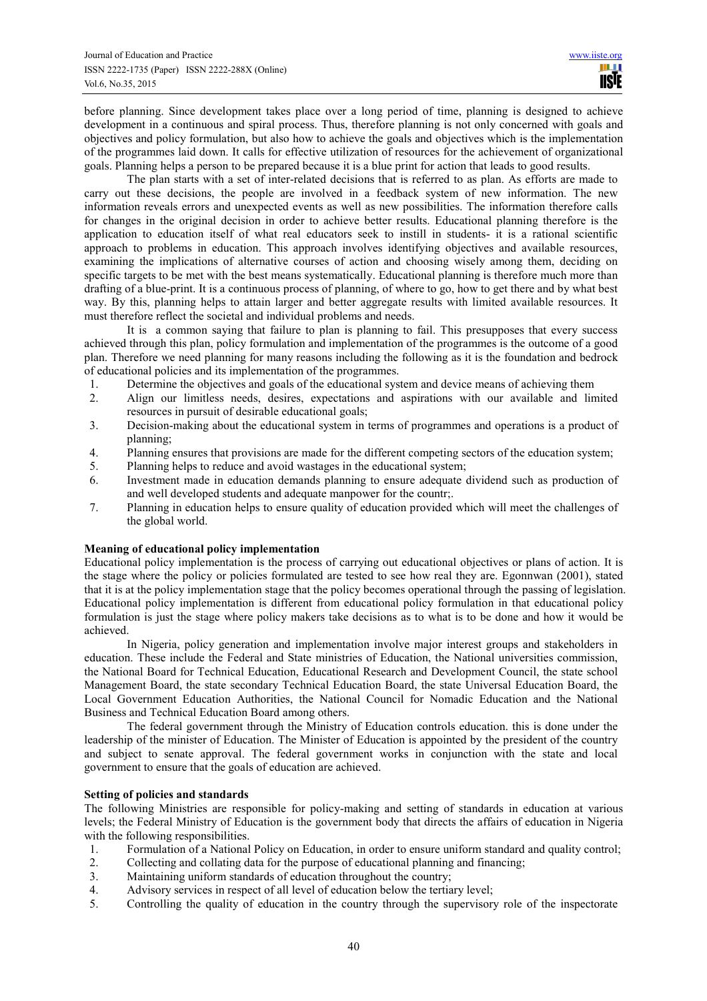before planning. Since development takes place over a long period of time, planning is designed to achieve development in a continuous and spiral process. Thus, therefore planning is not only concerned with goals and objectives and policy formulation, but also how to achieve the goals and objectives which is the implementation of the programmes laid down. It calls for effective utilization of resources for the achievement of organizational goals. Planning helps a person to be prepared because it is a blue print for action that leads to good results.

The plan starts with a set of inter-related decisions that is referred to as plan. As efforts are made to carry out these decisions, the people are involved in a feedback system of new information. The new information reveals errors and unexpected events as well as new possibilities. The information therefore calls for changes in the original decision in order to achieve better results. Educational planning therefore is the application to education itself of what real educators seek to instill in students- it is a rational scientific approach to problems in education. This approach involves identifying objectives and available resources, examining the implications of alternative courses of action and choosing wisely among them, deciding on specific targets to be met with the best means systematically. Educational planning is therefore much more than drafting of a blue-print. It is a continuous process of planning, of where to go, how to get there and by what best way. By this, planning helps to attain larger and better aggregate results with limited available resources. It must therefore reflect the societal and individual problems and needs.

It is a common saying that failure to plan is planning to fail. This presupposes that every success achieved through this plan, policy formulation and implementation of the programmes is the outcome of a good plan. Therefore we need planning for many reasons including the following as it is the foundation and bedrock of educational policies and its implementation of the programmes.

- 1. Determine the objectives and goals of the educational system and device means of achieving them
- 2. Align our limitless needs, desires, expectations and aspirations with our available and limited resources in pursuit of desirable educational goals;
- 3. Decision-making about the educational system in terms of programmes and operations is a product of planning;
- 4. Planning ensures that provisions are made for the different competing sectors of the education system;
- 5. Planning helps to reduce and avoid wastages in the educational system;
- 6. Investment made in education demands planning to ensure adequate dividend such as production of and well developed students and adequate manpower for the countr;.
- 7. Planning in education helps to ensure quality of education provided which will meet the challenges of the global world.

## **Meaning of educational policy implementation**

Educational policy implementation is the process of carrying out educational objectives or plans of action. It is the stage where the policy or policies formulated are tested to see how real they are. Egonnwan (2001), stated that it is at the policy implementation stage that the policy becomes operational through the passing of legislation. Educational policy implementation is different from educational policy formulation in that educational policy formulation is just the stage where policy makers take decisions as to what is to be done and how it would be achieved.

In Nigeria, policy generation and implementation involve major interest groups and stakeholders in education. These include the Federal and State ministries of Education, the National universities commission, the National Board for Technical Education, Educational Research and Development Council, the state school Management Board, the state secondary Technical Education Board, the state Universal Education Board, the Local Government Education Authorities, the National Council for Nomadic Education and the National Business and Technical Education Board among others.

The federal government through the Ministry of Education controls education. this is done under the leadership of the minister of Education. The Minister of Education is appointed by the president of the country and subject to senate approval. The federal government works in conjunction with the state and local government to ensure that the goals of education are achieved.

#### **Setting of policies and standards**

The following Ministries are responsible for policy-making and setting of standards in education at various levels; the Federal Ministry of Education is the government body that directs the affairs of education in Nigeria with the following responsibilities.

- 1. Formulation of a National Policy on Education, in order to ensure uniform standard and quality control;<br>2. Collecting and collating data for the purpose of educational planning and financing:
- 2. Collecting and collating data for the purpose of educational planning and financing;
- 3. Maintaining uniform standards of education throughout the country;
- 4. Advisory services in respect of all level of education below the tertiary level;
- 5. Controlling the quality of education in the country through the supervisory role of the inspectorate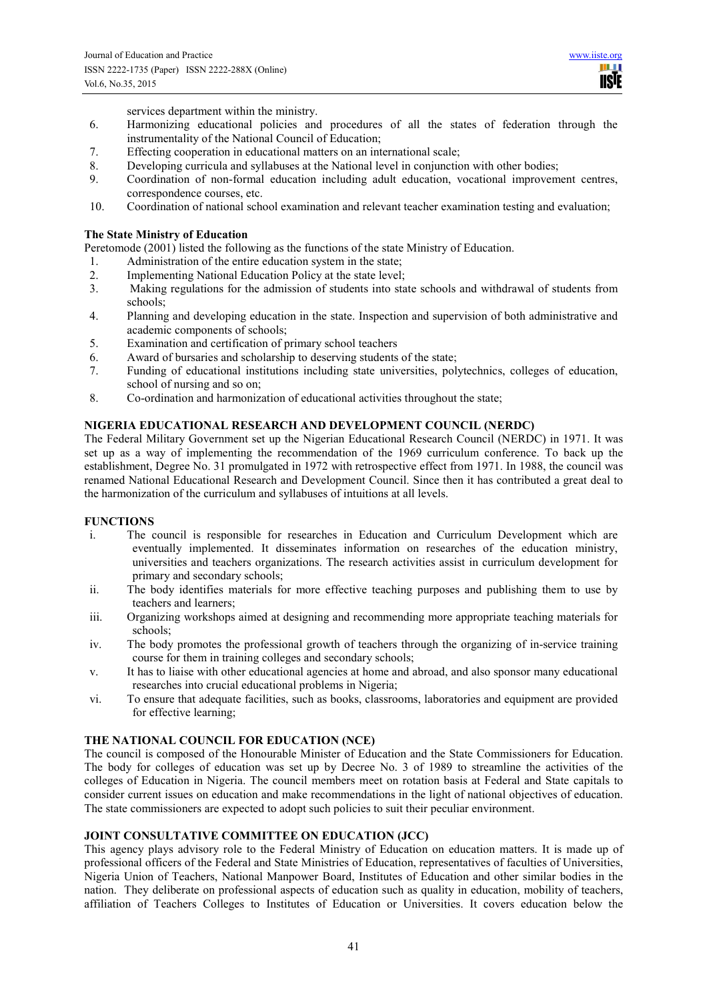H **TISIE** 

services department within the ministry.

- 6. Harmonizing educational policies and procedures of all the states of federation through the instrumentality of the National Council of Education;
- 7. Effecting cooperation in educational matters on an international scale;<br>8 Developing curricula and syllabuses at the National level in conjunction
- Developing curricula and syllabuses at the National level in conjunction with other bodies;
- 9. Coordination of non-formal education including adult education, vocational improvement centres, correspondence courses, etc.
- 10. Coordination of national school examination and relevant teacher examination testing and evaluation;

## **The State Ministry of Education**

Peretomode (2001) listed the following as the functions of the state Ministry of Education.

- 1. Administration of the entire education system in the state;
- 2. Implementing National Education Policy at the state level;<br>3. Making regulations for the admission of students into sta
- 3. Making regulations for the admission of students into state schools and withdrawal of students from schools;
- 4. Planning and developing education in the state. Inspection and supervision of both administrative and academic components of schools;
- 5. Examination and certification of primary school teachers
- 6. Award of bursaries and scholarship to deserving students of the state;<br>7. Funding of educational institutions including state universities, poly
- 7. Funding of educational institutions including state universities, polytechnics, colleges of education, school of nursing and so on;
- 8. Co-ordination and harmonization of educational activities throughout the state;

# **NIGERIA EDUCATIONAL RESEARCH AND DEVELOPMENT COUNCIL (NERDC)**

The Federal Military Government set up the Nigerian Educational Research Council (NERDC) in 1971. It was set up as a way of implementing the recommendation of the 1969 curriculum conference. To back up the establishment, Degree No. 31 promulgated in 1972 with retrospective effect from 1971. In 1988, the council was renamed National Educational Research and Development Council. Since then it has contributed a great deal to the harmonization of the curriculum and syllabuses of intuitions at all levels.

#### **FUNCTIONS**

- i. The council is responsible for researches in Education and Curriculum Development which are eventually implemented. It disseminates information on researches of the education ministry, universities and teachers organizations. The research activities assist in curriculum development for primary and secondary schools;
- ii. The body identifies materials for more effective teaching purposes and publishing them to use by teachers and learners;
- iii. Organizing workshops aimed at designing and recommending more appropriate teaching materials for schools;
- iv. The body promotes the professional growth of teachers through the organizing of in-service training course for them in training colleges and secondary schools;
- v. It has to liaise with other educational agencies at home and abroad, and also sponsor many educational researches into crucial educational problems in Nigeria;
- vi. To ensure that adequate facilities, such as books, classrooms, laboratories and equipment are provided for effective learning;

#### **THE NATIONAL COUNCIL FOR EDUCATION (NCE)**

The council is composed of the Honourable Minister of Education and the State Commissioners for Education. The body for colleges of education was set up by Decree No. 3 of 1989 to streamline the activities of the colleges of Education in Nigeria. The council members meet on rotation basis at Federal and State capitals to consider current issues on education and make recommendations in the light of national objectives of education. The state commissioners are expected to adopt such policies to suit their peculiar environment.

#### **JOINT CONSULTATIVE COMMITTEE ON EDUCATION (JCC)**

This agency plays advisory role to the Federal Ministry of Education on education matters. It is made up of professional officers of the Federal and State Ministries of Education, representatives of faculties of Universities, Nigeria Union of Teachers, National Manpower Board, Institutes of Education and other similar bodies in the nation. They deliberate on professional aspects of education such as quality in education, mobility of teachers, affiliation of Teachers Colleges to Institutes of Education or Universities. It covers education below the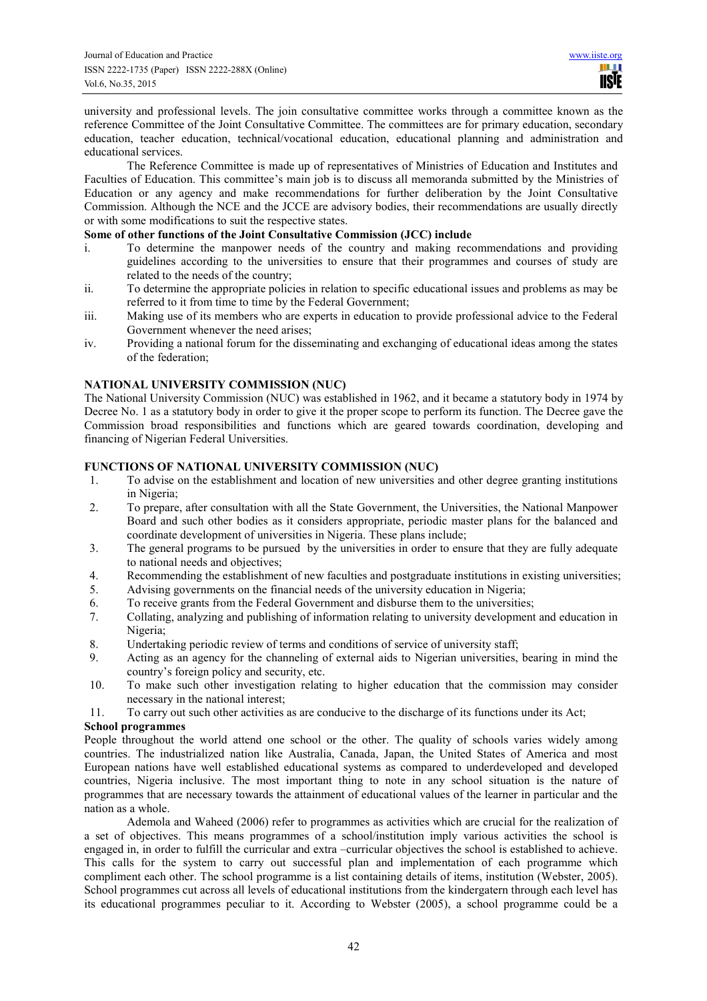university and professional levels. The join consultative committee works through a committee known as the reference Committee of the Joint Consultative Committee. The committees are for primary education, secondary education, teacher education, technical/vocational education, educational planning and administration and educational services.

The Reference Committee is made up of representatives of Ministries of Education and Institutes and Faculties of Education. This committee's main job is to discuss all memoranda submitted by the Ministries of Education or any agency and make recommendations for further deliberation by the Joint Consultative Commission. Although the NCE and the JCCE are advisory bodies, their recommendations are usually directly or with some modifications to suit the respective states.

## **Some of other functions of the Joint Consultative Commission (JCC) include**

- i. To determine the manpower needs of the country and making recommendations and providing guidelines according to the universities to ensure that their programmes and courses of study are related to the needs of the country;
- ii. To determine the appropriate policies in relation to specific educational issues and problems as may be referred to it from time to time by the Federal Government;
- iii. Making use of its members who are experts in education to provide professional advice to the Federal Government whenever the need arises;
- iv. Providing a national forum for the disseminating and exchanging of educational ideas among the states of the federation;

## **NATIONAL UNIVERSITY COMMISSION (NUC)**

The National University Commission (NUC) was established in 1962, and it became a statutory body in 1974 by Decree No. 1 as a statutory body in order to give it the proper scope to perform its function. The Decree gave the Commission broad responsibilities and functions which are geared towards coordination, developing and financing of Nigerian Federal Universities.

## **FUNCTIONS OF NATIONAL UNIVERSITY COMMISSION (NUC)**

- 1. To advise on the establishment and location of new universities and other degree granting institutions in Nigeria;
- 2. To prepare, after consultation with all the State Government, the Universities, the National Manpower Board and such other bodies as it considers appropriate, periodic master plans for the balanced and coordinate development of universities in Nigeria. These plans include;
- 3. The general programs to be pursued by the universities in order to ensure that they are fully adequate to national needs and objectives;
- 4. Recommending the establishment of new faculties and postgraduate institutions in existing universities;
- 5. Advising governments on the financial needs of the university education in Nigeria;
- 6. To receive grants from the Federal Government and disburse them to the universities;
- 7. Collating, analyzing and publishing of information relating to university development and education in Nigeria;
- 8. Undertaking periodic review of terms and conditions of service of university staff;<br>9. Acting as an agency for the channeling of external aids to Nigerian universities.
- 9. Acting as an agency for the channeling of external aids to Nigerian universities, bearing in mind the country's foreign policy and security, etc.
- 10. To make such other investigation relating to higher education that the commission may consider necessary in the national interest;
- 11. To carry out such other activities as are conducive to the discharge of its functions under its Act;

### **School programmes**

People throughout the world attend one school or the other. The quality of schools varies widely among countries. The industrialized nation like Australia, Canada, Japan, the United States of America and most European nations have well established educational systems as compared to underdeveloped and developed countries, Nigeria inclusive. The most important thing to note in any school situation is the nature of programmes that are necessary towards the attainment of educational values of the learner in particular and the nation as a whole.

 Ademola and Waheed (2006) refer to programmes as activities which are crucial for the realization of a set of objectives. This means programmes of a school/institution imply various activities the school is engaged in, in order to fulfill the curricular and extra –curricular objectives the school is established to achieve. This calls for the system to carry out successful plan and implementation of each programme which compliment each other. The school programme is a list containing details of items, institution (Webster, 2005). School programmes cut across all levels of educational institutions from the kindergatern through each level has its educational programmes peculiar to it. According to Webster (2005), a school programme could be a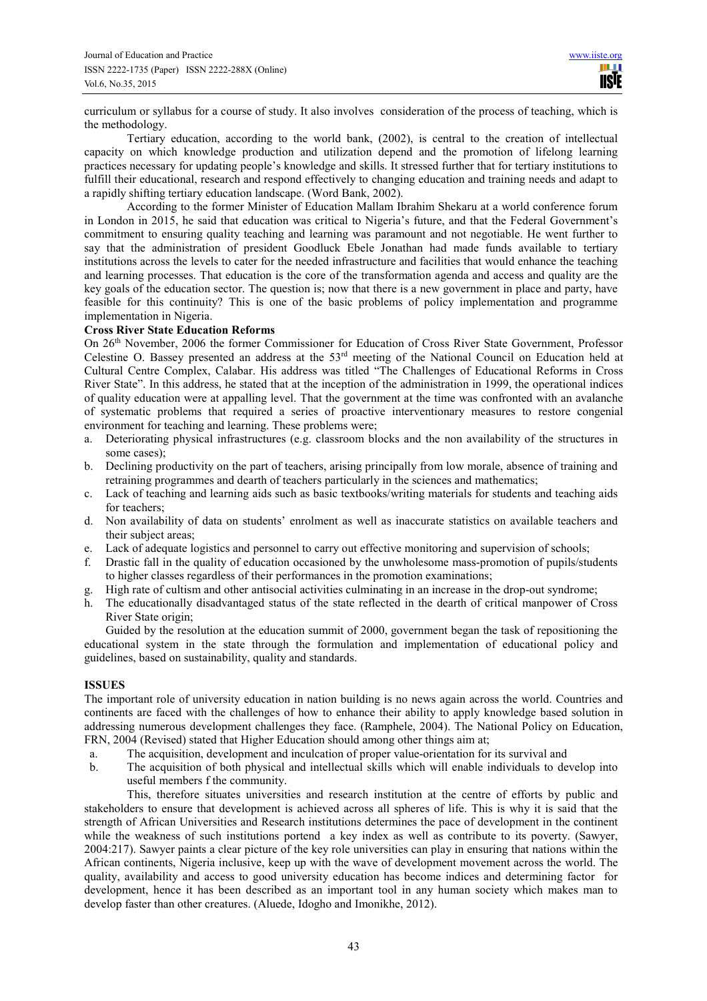curriculum or syllabus for a course of study. It also involves consideration of the process of teaching, which is the methodology.

 Tertiary education, according to the world bank, (2002), is central to the creation of intellectual capacity on which knowledge production and utilization depend and the promotion of lifelong learning practices necessary for updating people's knowledge and skills. It stressed further that for tertiary institutions to fulfill their educational, research and respond effectively to changing education and training needs and adapt to a rapidly shifting tertiary education landscape. (Word Bank, 2002).

 According to the former Minister of Education Mallam Ibrahim Shekaru at a world conference forum in London in 2015, he said that education was critical to Nigeria's future, and that the Federal Government's commitment to ensuring quality teaching and learning was paramount and not negotiable. He went further to say that the administration of president Goodluck Ebele Jonathan had made funds available to tertiary institutions across the levels to cater for the needed infrastructure and facilities that would enhance the teaching and learning processes. That education is the core of the transformation agenda and access and quality are the key goals of the education sector. The question is; now that there is a new government in place and party, have feasible for this continuity? This is one of the basic problems of policy implementation and programme implementation in Nigeria.

#### **Cross River State Education Reforms**

On 26th November, 2006 the former Commissioner for Education of Cross River State Government, Professor Celestine O. Bassey presented an address at the 53rd meeting of the National Council on Education held at Cultural Centre Complex, Calabar. His address was titled "The Challenges of Educational Reforms in Cross River State". In this address, he stated that at the inception of the administration in 1999, the operational indices of quality education were at appalling level. That the government at the time was confronted with an avalanche of systematic problems that required a series of proactive interventionary measures to restore congenial environment for teaching and learning. These problems were;

- a. Deteriorating physical infrastructures (e.g. classroom blocks and the non availability of the structures in some cases);
- b. Declining productivity on the part of teachers, arising principally from low morale, absence of training and retraining programmes and dearth of teachers particularly in the sciences and mathematics;
- c. Lack of teaching and learning aids such as basic textbooks/writing materials for students and teaching aids for teachers;
- d. Non availability of data on students' enrolment as well as inaccurate statistics on available teachers and their subject areas;
- e. Lack of adequate logistics and personnel to carry out effective monitoring and supervision of schools;
- f. Drastic fall in the quality of education occasioned by the unwholesome mass-promotion of pupils/students to higher classes regardless of their performances in the promotion examinations;
- g. High rate of cultism and other antisocial activities culminating in an increase in the drop-out syndrome;
- h. The educationally disadvantaged status of the state reflected in the dearth of critical manpower of Cross River State origin;

Guided by the resolution at the education summit of 2000, government began the task of repositioning the educational system in the state through the formulation and implementation of educational policy and guidelines, based on sustainability, quality and standards.

#### **ISSUES**

The important role of university education in nation building is no news again across the world. Countries and continents are faced with the challenges of how to enhance their ability to apply knowledge based solution in addressing numerous development challenges they face. (Ramphele, 2004). The National Policy on Education, FRN, 2004 (Revised) stated that Higher Education should among other things aim at;

- a. The acquisition, development and inculcation of proper value-orientation for its survival and
- b. The acquisition of both physical and intellectual skills which will enable individuals to develop into useful members f the community.

This, therefore situates universities and research institution at the centre of efforts by public and stakeholders to ensure that development is achieved across all spheres of life. This is why it is said that the strength of African Universities and Research institutions determines the pace of development in the continent while the weakness of such institutions portend a key index as well as contribute to its poverty. (Sawyer, 2004:217). Sawyer paints a clear picture of the key role universities can play in ensuring that nations within the African continents, Nigeria inclusive, keep up with the wave of development movement across the world. The quality, availability and access to good university education has become indices and determining factor for development, hence it has been described as an important tool in any human society which makes man to develop faster than other creatures. (Aluede, Idogho and Imonikhe, 2012).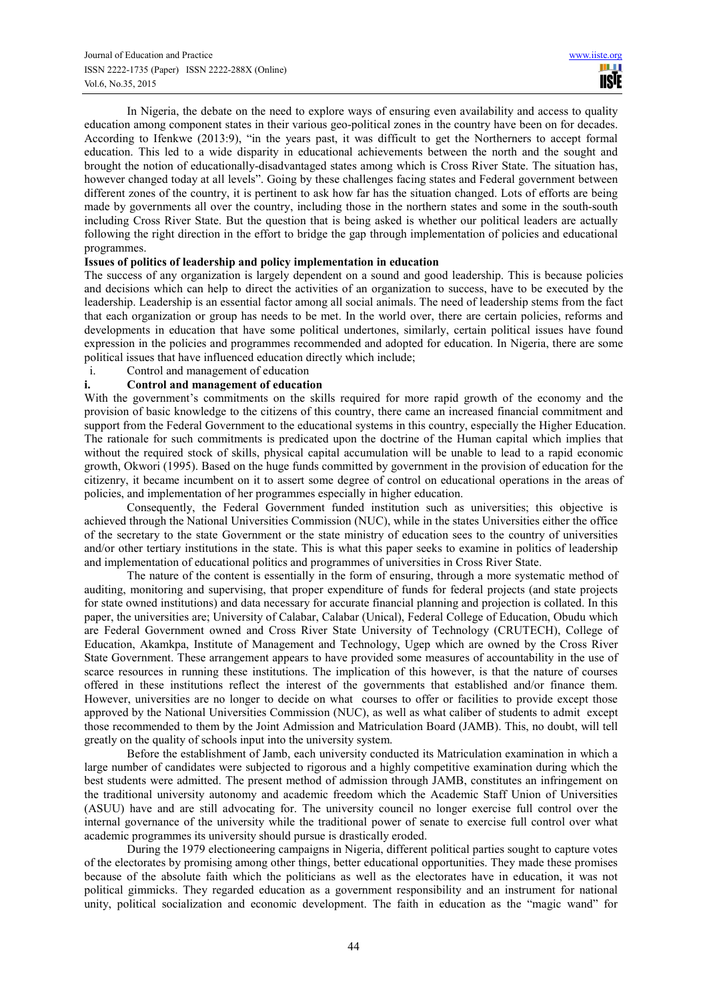In Nigeria, the debate on the need to explore ways of ensuring even availability and access to quality education among component states in their various geo-political zones in the country have been on for decades. According to Ifenkwe (2013:9), "in the years past, it was difficult to get the Northerners to accept formal education. This led to a wide disparity in educational achievements between the north and the sought and brought the notion of educationally-disadvantaged states among which is Cross River State. The situation has, however changed today at all levels". Going by these challenges facing states and Federal government between different zones of the country, it is pertinent to ask how far has the situation changed. Lots of efforts are being made by governments all over the country, including those in the northern states and some in the south-south including Cross River State. But the question that is being asked is whether our political leaders are actually following the right direction in the effort to bridge the gap through implementation of policies and educational programmes.

### **Issues of politics of leadership and policy implementation in education**

The success of any organization is largely dependent on a sound and good leadership. This is because policies and decisions which can help to direct the activities of an organization to success, have to be executed by the leadership. Leadership is an essential factor among all social animals. The need of leadership stems from the fact that each organization or group has needs to be met. In the world over, there are certain policies, reforms and developments in education that have some political undertones, similarly, certain political issues have found expression in the policies and programmes recommended and adopted for education. In Nigeria, there are some political issues that have influenced education directly which include;

## i. Control and management of education

# **i. Control and management of education**

With the government's commitments on the skills required for more rapid growth of the economy and the provision of basic knowledge to the citizens of this country, there came an increased financial commitment and support from the Federal Government to the educational systems in this country, especially the Higher Education. The rationale for such commitments is predicated upon the doctrine of the Human capital which implies that without the required stock of skills, physical capital accumulation will be unable to lead to a rapid economic growth, Okwori (1995). Based on the huge funds committed by government in the provision of education for the citizenry, it became incumbent on it to assert some degree of control on educational operations in the areas of policies, and implementation of her programmes especially in higher education.

Consequently, the Federal Government funded institution such as universities; this objective is achieved through the National Universities Commission (NUC), while in the states Universities either the office of the secretary to the state Government or the state ministry of education sees to the country of universities and/or other tertiary institutions in the state. This is what this paper seeks to examine in politics of leadership and implementation of educational politics and programmes of universities in Cross River State.

The nature of the content is essentially in the form of ensuring, through a more systematic method of auditing, monitoring and supervising, that proper expenditure of funds for federal projects (and state projects for state owned institutions) and data necessary for accurate financial planning and projection is collated. In this paper, the universities are; University of Calabar, Calabar (Unical), Federal College of Education, Obudu which are Federal Government owned and Cross River State University of Technology (CRUTECH), College of Education, Akamkpa, Institute of Management and Technology, Ugep which are owned by the Cross River State Government. These arrangement appears to have provided some measures of accountability in the use of scarce resources in running these institutions. The implication of this however, is that the nature of courses offered in these institutions reflect the interest of the governments that established and/or finance them. However, universities are no longer to decide on what courses to offer or facilities to provide except those approved by the National Universities Commission (NUC), as well as what caliber of students to admit except those recommended to them by the Joint Admission and Matriculation Board (JAMB). This, no doubt, will tell greatly on the quality of schools input into the university system.

Before the establishment of Jamb, each university conducted its Matriculation examination in which a large number of candidates were subjected to rigorous and a highly competitive examination during which the best students were admitted. The present method of admission through JAMB, constitutes an infringement on the traditional university autonomy and academic freedom which the Academic Staff Union of Universities (ASUU) have and are still advocating for. The university council no longer exercise full control over the internal governance of the university while the traditional power of senate to exercise full control over what academic programmes its university should pursue is drastically eroded.

During the 1979 electioneering campaigns in Nigeria, different political parties sought to capture votes of the electorates by promising among other things, better educational opportunities. They made these promises because of the absolute faith which the politicians as well as the electorates have in education, it was not political gimmicks. They regarded education as a government responsibility and an instrument for national unity, political socialization and economic development. The faith in education as the "magic wand" for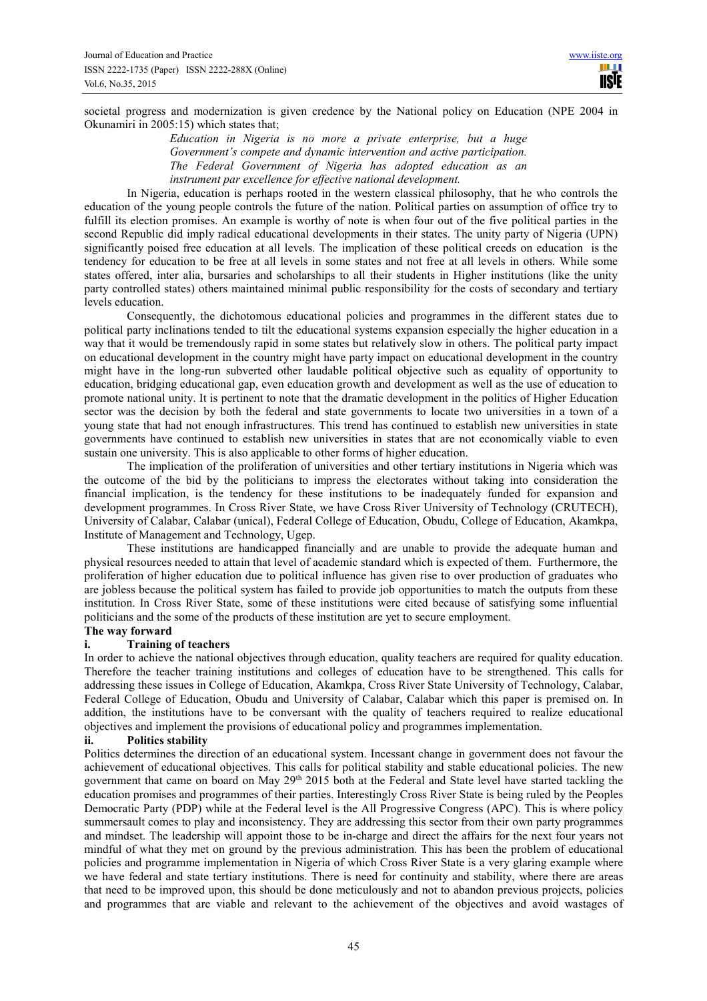IISIE

societal progress and modernization is given credence by the National policy on Education (NPE 2004 in Okunamiri in 2005:15) which states that;

> *Education in Nigeria is no more a private enterprise, but a huge Government's compete and dynamic intervention and active participation. The Federal Government of Nigeria has adopted education as an instrument par excellence for effective national development.*

In Nigeria, education is perhaps rooted in the western classical philosophy, that he who controls the education of the young people controls the future of the nation. Political parties on assumption of office try to fulfill its election promises. An example is worthy of note is when four out of the five political parties in the second Republic did imply radical educational developments in their states. The unity party of Nigeria (UPN) significantly poised free education at all levels. The implication of these political creeds on education is the tendency for education to be free at all levels in some states and not free at all levels in others. While some states offered, inter alia, bursaries and scholarships to all their students in Higher institutions (like the unity party controlled states) others maintained minimal public responsibility for the costs of secondary and tertiary levels education.

Consequently, the dichotomous educational policies and programmes in the different states due to political party inclinations tended to tilt the educational systems expansion especially the higher education in a way that it would be tremendously rapid in some states but relatively slow in others. The political party impact on educational development in the country might have party impact on educational development in the country might have in the long-run subverted other laudable political objective such as equality of opportunity to education, bridging educational gap, even education growth and development as well as the use of education to promote national unity. It is pertinent to note that the dramatic development in the politics of Higher Education sector was the decision by both the federal and state governments to locate two universities in a town of a young state that had not enough infrastructures. This trend has continued to establish new universities in state governments have continued to establish new universities in states that are not economically viable to even sustain one university. This is also applicable to other forms of higher education.

The implication of the proliferation of universities and other tertiary institutions in Nigeria which was the outcome of the bid by the politicians to impress the electorates without taking into consideration the financial implication, is the tendency for these institutions to be inadequately funded for expansion and development programmes. In Cross River State, we have Cross River University of Technology (CRUTECH), University of Calabar, Calabar (unical), Federal College of Education, Obudu, College of Education, Akamkpa, Institute of Management and Technology, Ugep.

These institutions are handicapped financially and are unable to provide the adequate human and physical resources needed to attain that level of academic standard which is expected of them. Furthermore, the proliferation of higher education due to political influence has given rise to over production of graduates who are jobless because the political system has failed to provide job opportunities to match the outputs from these institution. In Cross River State, some of these institutions were cited because of satisfying some influential politicians and the some of the products of these institution are yet to secure employment.

# **The way forward**

# **i. Training of teachers**

In order to achieve the national objectives through education, quality teachers are required for quality education. Therefore the teacher training institutions and colleges of education have to be strengthened. This calls for addressing these issues in College of Education, Akamkpa, Cross River State University of Technology, Calabar, Federal College of Education, Obudu and University of Calabar, Calabar which this paper is premised on. In addition, the institutions have to be conversant with the quality of teachers required to realize educational objectives and implement the provisions of educational policy and programmes implementation.

#### **ii. Politics stability**

Politics determines the direction of an educational system. Incessant change in government does not favour the achievement of educational objectives. This calls for political stability and stable educational policies. The new government that came on board on May 29<sup>th</sup> 2015 both at the Federal and State level have started tackling the education promises and programmes of their parties. Interestingly Cross River State is being ruled by the Peoples Democratic Party (PDP) while at the Federal level is the All Progressive Congress (APC). This is where policy summersault comes to play and inconsistency. They are addressing this sector from their own party programmes and mindset. The leadership will appoint those to be in-charge and direct the affairs for the next four years not mindful of what they met on ground by the previous administration. This has been the problem of educational policies and programme implementation in Nigeria of which Cross River State is a very glaring example where we have federal and state tertiary institutions. There is need for continuity and stability, where there are areas that need to be improved upon, this should be done meticulously and not to abandon previous projects, policies and programmes that are viable and relevant to the achievement of the objectives and avoid wastages of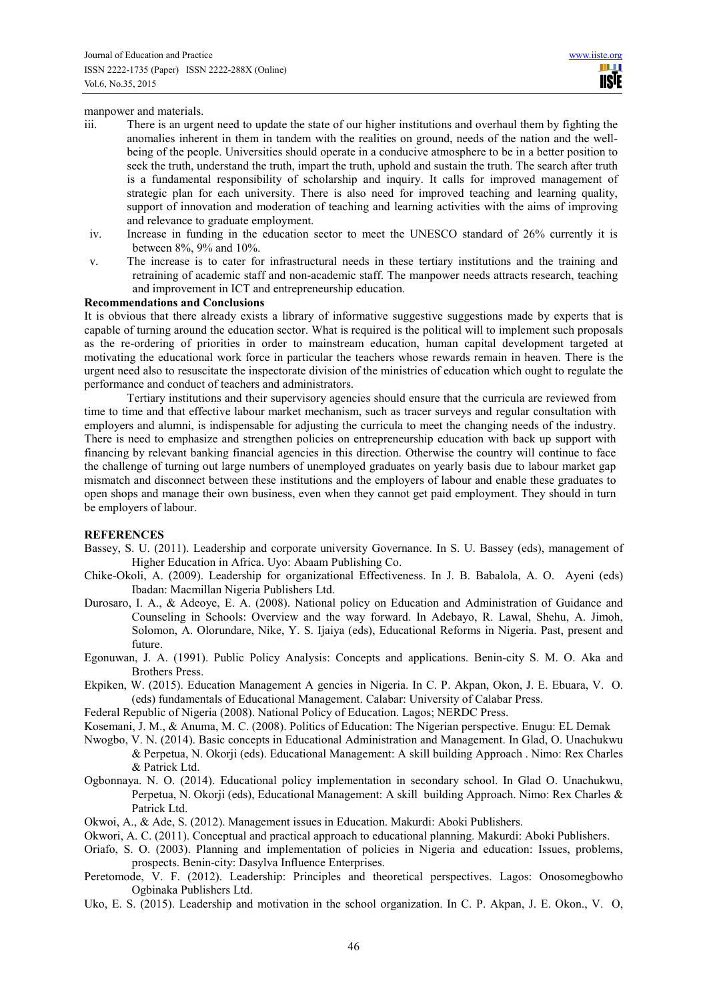manpower and materials.

- iii. There is an urgent need to update the state of our higher institutions and overhaul them by fighting the anomalies inherent in them in tandem with the realities on ground, needs of the nation and the wellbeing of the people. Universities should operate in a conducive atmosphere to be in a better position to seek the truth, understand the truth, impart the truth, uphold and sustain the truth. The search after truth is a fundamental responsibility of scholarship and inquiry. It calls for improved management of strategic plan for each university. There is also need for improved teaching and learning quality, support of innovation and moderation of teaching and learning activities with the aims of improving and relevance to graduate employment.
- iv. Increase in funding in the education sector to meet the UNESCO standard of 26% currently it is between 8%, 9% and 10%.
- v. The increase is to cater for infrastructural needs in these tertiary institutions and the training and retraining of academic staff and non-academic staff. The manpower needs attracts research, teaching and improvement in ICT and entrepreneurship education.

#### **Recommendations and Conclusions**

It is obvious that there already exists a library of informative suggestive suggestions made by experts that is capable of turning around the education sector. What is required is the political will to implement such proposals as the re-ordering of priorities in order to mainstream education, human capital development targeted at motivating the educational work force in particular the teachers whose rewards remain in heaven. There is the urgent need also to resuscitate the inspectorate division of the ministries of education which ought to regulate the performance and conduct of teachers and administrators.

Tertiary institutions and their supervisory agencies should ensure that the curricula are reviewed from time to time and that effective labour market mechanism, such as tracer surveys and regular consultation with employers and alumni, is indispensable for adjusting the curricula to meet the changing needs of the industry. There is need to emphasize and strengthen policies on entrepreneurship education with back up support with financing by relevant banking financial agencies in this direction. Otherwise the country will continue to face the challenge of turning out large numbers of unemployed graduates on yearly basis due to labour market gap mismatch and disconnect between these institutions and the employers of labour and enable these graduates to open shops and manage their own business, even when they cannot get paid employment. They should in turn be employers of labour.

#### **REFERENCES**

- Bassey, S. U. (2011). Leadership and corporate university Governance. In S. U. Bassey (eds), management of Higher Education in Africa. Uyo: Abaam Publishing Co.
- Chike-Okoli, A. (2009). Leadership for organizational Effectiveness. In J. B. Babalola, A. O. Ayeni (eds) Ibadan: Macmillan Nigeria Publishers Ltd.
- Durosaro, I. A., & Adeoye, E. A. (2008). National policy on Education and Administration of Guidance and Counseling in Schools: Overview and the way forward. In Adebayo, R. Lawal, Shehu, A. Jimoh, Solomon, A. Olorundare, Nike, Y. S. Ijaiya (eds), Educational Reforms in Nigeria. Past, present and future.
- Egonuwan, J. A. (1991). Public Policy Analysis: Concepts and applications. Benin-city S. M. O. Aka and Brothers Press.
- Ekpiken, W. (2015). Education Management A gencies in Nigeria. In C. P. Akpan, Okon, J. E. Ebuara, V. O. (eds) fundamentals of Educational Management. Calabar: University of Calabar Press.
- Federal Republic of Nigeria (2008). National Policy of Education. Lagos; NERDC Press.
- Kosemani, J. M., & Anuma, M. C. (2008). Politics of Education: The Nigerian perspective. Enugu: EL Demak
- Nwogbo, V. N. (2014). Basic concepts in Educational Administration and Management. In Glad, O. Unachukwu & Perpetua, N. Okorji (eds). Educational Management: A skill building Approach . Nimo: Rex Charles & Patrick Ltd.
- Ogbonnaya. N. O. (2014). Educational policy implementation in secondary school. In Glad O. Unachukwu, Perpetua, N. Okorji (eds), Educational Management: A skill building Approach. Nimo: Rex Charles & Patrick Ltd.
- Okwoi, A., & Ade, S. (2012). Management issues in Education. Makurdi: Aboki Publishers.
- Okwori, A. C. (2011). Conceptual and practical approach to educational planning. Makurdi: Aboki Publishers.
- Oriafo, S. O. (2003). Planning and implementation of policies in Nigeria and education: Issues, problems, prospects. Benin-city: Dasylva Influence Enterprises.
- Peretomode, V. F. (2012). Leadership: Principles and theoretical perspectives. Lagos: Onosomegbowho Ogbinaka Publishers Ltd.
- Uko, E. S. (2015). Leadership and motivation in the school organization. In C. P. Akpan, J. E. Okon., V. O,